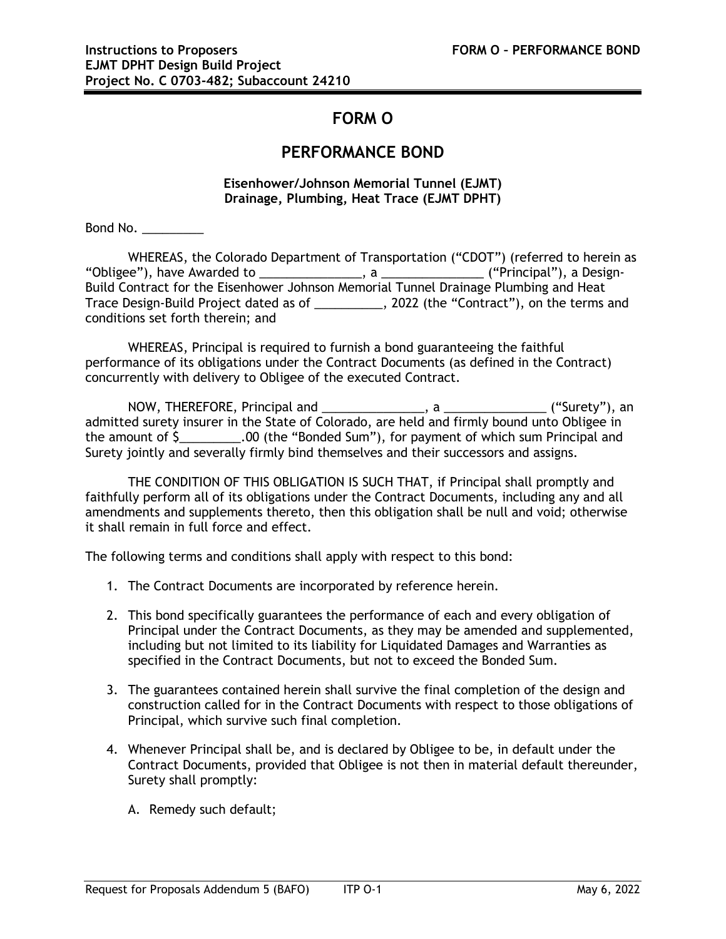## **FORM O**

## **PERFORMANCE BOND**

**Eisenhower/Johnson Memorial Tunnel (EJMT) Drainage, Plumbing, Heat Trace (EJMT DPHT)**

Bond No. \_\_\_\_\_\_\_\_\_

WHEREAS, the Colorado Department of Transportation ("CDOT") (referred to herein as "Obligee"), have Awarded to \_\_\_\_\_\_\_\_\_\_\_\_\_\_\_, a \_\_\_\_\_\_\_\_\_\_\_\_\_\_\_ ("Principal"), a Design-Build Contract for the Eisenhower Johnson Memorial Tunnel Drainage Plumbing and Heat Trace Design-Build Project dated as of \_\_\_\_\_\_\_\_\_\_, 2022 (the "Contract"), on the terms and conditions set forth therein; and

WHEREAS, Principal is required to furnish a bond guaranteeing the faithful performance of its obligations under the Contract Documents (as defined in the Contract) concurrently with delivery to Obligee of the executed Contract.

NOW, THEREFORE, Principal and \_\_\_\_\_\_\_\_\_\_\_\_\_\_\_, a \_\_\_\_\_\_\_\_\_\_\_\_\_\_\_ ("Surety"), an admitted surety insurer in the State of Colorado, are held and firmly bound unto Obligee in the amount of \$\_\_\_\_\_\_\_\_\_.00 (the "Bonded Sum"), for payment of which sum Principal and Surety jointly and severally firmly bind themselves and their successors and assigns.

THE CONDITION OF THIS OBLIGATION IS SUCH THAT, if Principal shall promptly and faithfully perform all of its obligations under the Contract Documents, including any and all amendments and supplements thereto, then this obligation shall be null and void; otherwise it shall remain in full force and effect.

The following terms and conditions shall apply with respect to this bond:

- 1. The Contract Documents are incorporated by reference herein.
- 2. This bond specifically guarantees the performance of each and every obligation of Principal under the Contract Documents, as they may be amended and supplemented, including but not limited to its liability for Liquidated Damages and Warranties as specified in the Contract Documents, but not to exceed the Bonded Sum.
- 3. The guarantees contained herein shall survive the final completion of the design and construction called for in the Contract Documents with respect to those obligations of Principal, which survive such final completion.
- 4. Whenever Principal shall be, and is declared by Obligee to be, in default under the Contract Documents, provided that Obligee is not then in material default thereunder, Surety shall promptly:
	- A. Remedy such default;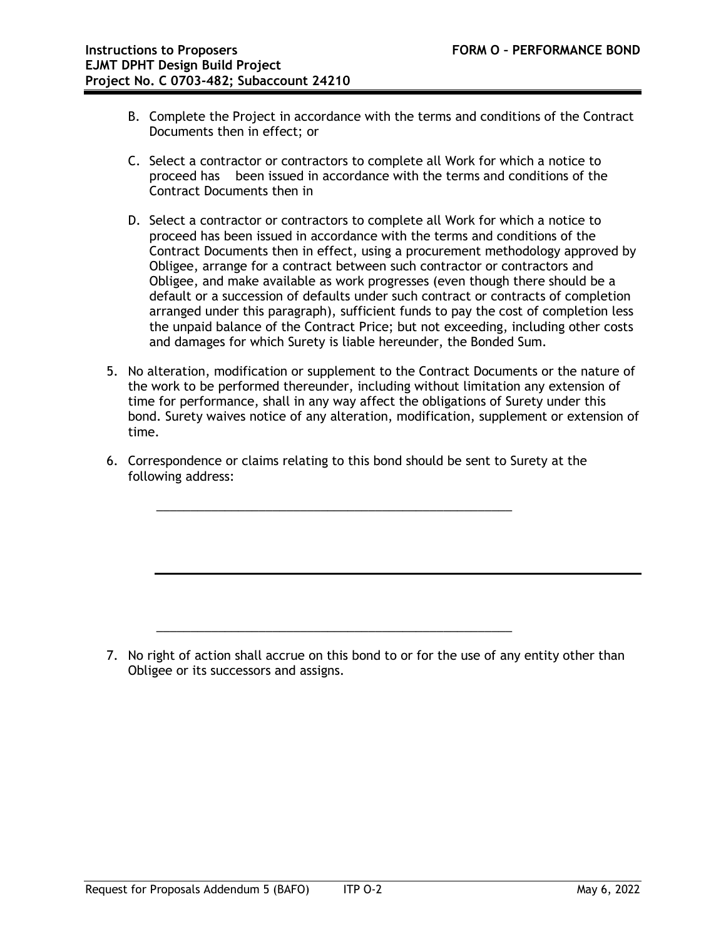- B. Complete the Project in accordance with the terms and conditions of the Contract Documents then in effect; or
- C. Select a contractor or contractors to complete all Work for which a notice to proceed has been issued in accordance with the terms and conditions of the Contract Documents then in
- D. Select a contractor or contractors to complete all Work for which a notice to proceed has been issued in accordance with the terms and conditions of the Contract Documents then in effect, using a procurement methodology approved by Obligee, arrange for a contract between such contractor or contractors and Obligee, and make available as work progresses (even though there should be a default or a succession of defaults under such contract or contracts of completion arranged under this paragraph), sufficient funds to pay the cost of completion less the unpaid balance of the Contract Price; but not exceeding, including other costs and damages for which Surety is liable hereunder, the Bonded Sum.
- 5. No alteration, modification or supplement to the Contract Documents or the nature of the work to be performed thereunder, including without limitation any extension of time for performance, shall in any way affect the obligations of Surety under this bond. Surety waives notice of any alteration, modification, supplement or extension of time.
- 6. Correspondence or claims relating to this bond should be sent to Surety at the following address:

\_\_\_\_\_\_\_\_\_\_\_\_\_\_\_\_\_\_\_\_\_\_\_\_\_\_\_\_\_\_\_\_\_\_\_\_\_\_\_\_\_\_\_\_\_\_\_\_\_\_\_\_

\_\_\_\_\_\_\_\_\_\_\_\_\_\_\_\_\_\_\_\_\_\_\_\_\_\_\_\_\_\_\_\_\_\_\_\_\_\_\_\_\_\_\_\_\_\_\_\_\_\_\_\_

7. No right of action shall accrue on this bond to or for the use of any entity other than Obligee or its successors and assigns.